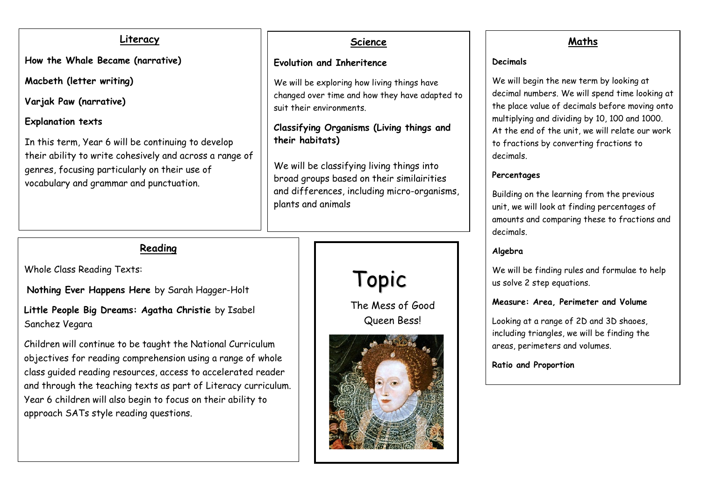### **Literacy**

**How the Whale Became (narrative)**

**Macbeth (letter writing)**

**Varjak Paw (narrative)**

### **Explanation texts**

In this term, Year 6 will be continuing to develop their ability to write cohesively and across a range of genres, focusing particularly on their use of vocabulary and grammar and punctuation.

### **Science**

### **Evolution and Inheritence**

We will be exploring how living things have changed over time and how they have adapted to suit their environments.

**Classifying Organisms (Living things and their habitats)**

We will be classifying living things into broad groups based on their similairities and differences, including micro-organisms, plants and animals



# **Maths**

#### **Decimals**

We will begin the new term by looking at decimal numbers. We will spend time looking at the place value of decimals before moving onto multiplying and dividing by 10, 100 and 1000. At the end of the unit, we will relate our work to fractions by converting fractions to decimals.

### **Percentages**

Building on the learning from the previous unit, we will look at finding percentages of amounts and comparing these to fractions and decimals.

## **Algebra**

We will be finding rules and formulae to help us solve 2 step equations.

### **Measure: Area, Perimeter and Volume**

Looking at a range of 2D and 3D shaoes, including triangles, we will be finding the areas, perimeters and volumes.

**Ratio and Proportion**

# **Reading**

Whole Class Reading Texts:

**Nothing Ever Happens Here** by Sarah Hagger-Holt

**Little People Big Dreams: Agatha Christie** by Isabel Sanchez Vegara

Children will continue to be taught the National Curriculum objectives for reading comprehension using a range of whole class guided reading resources, access to accelerated reader and through the teaching texts as part of Literacy curriculum. Year 6 children will also begin to focus on their ability to approach SATs style reading questions.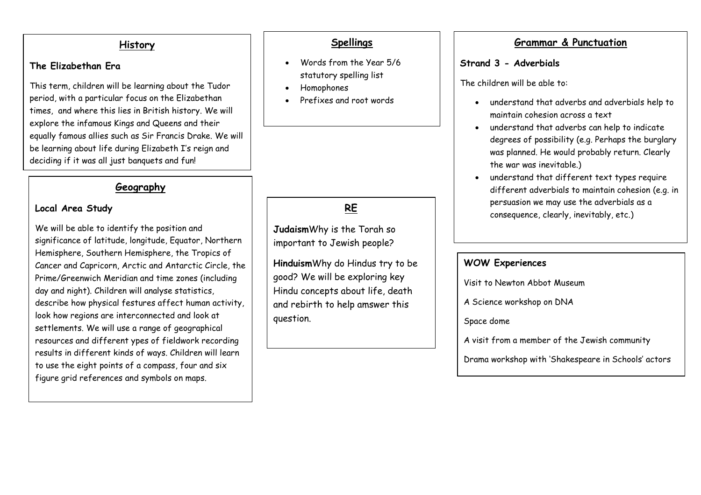#### **History**

### **The Elizabethan Era**

This term, children will be learning about the Tudor period, with a particular focus on the Elizabethan times, and where this lies in British history. We will explore the infamous Kings and Queens and their equally famous allies such as Sir Francis Drake. We will be learning about life during Elizabeth I's reign and deciding if it was all just banquets and fun!

### **Geography**

### **Local Area Study**

We will be able to identify the position and significance of latitude, longitude, Equator, Northern Hemisphere, Southern Hemisphere, the Tropics of Cancer and Capricorn, Arctic and Antarctic Circle, the Prime/Greenwich Meridian and time zones (including day and night). Children will analyse statistics, describe how physical festures affect human activity, look how regions are interconnected and look at settlements. We will use a range of geographical resources and different ypes of fieldwork recording results in different kinds of ways. Children will learn to use the eight points of a compass, four and six figure grid references and symbols on maps.

### **Spellings**

- Words from the Year 5/6 statutory spelling list
- Homophones
- Prefixes and root words

# **RE**

**Judaism**Why is the Torah so important to Jewish people?

**Hinduism**Why do Hindus try to be good? We will be exploring key Hindu concepts about life, death and rebirth to help amswer this question.

### **Grammar & Punctuation**

### **Strand 3 - Adverbials**

The children will be able to:

- understand that adverbs and adverbials help to maintain cohesion across a text
- understand that adverbs can help to indicate degrees of possibility (e.g. Perhaps the burglary was planned. He would probably return. Clearly the war was inevitable.)
- understand that different text types require different adverbials to maintain cohesion (e.g. in persuasion we may use the adverbials as a consequence, clearly, inevitably, etc.)

### **WOW Experiences**

Visit to Newton Abbot Museum

A Science workshop on DNA

Space dome

A visit from a member of the Jewish community

Drama workshop with 'Shakespeare in Schools' actors